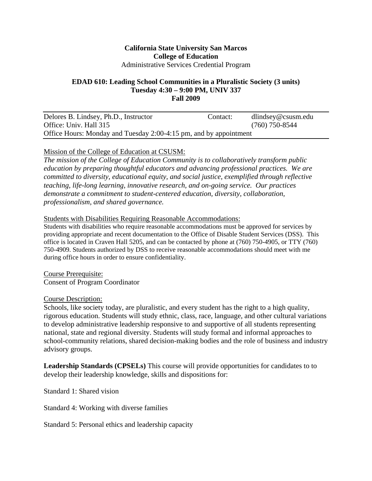#### **California State University San Marcos College of Education**  Administrative Services Credential Program

#### **EDAD 610: Leading School Communities in a Pluralistic Society (3 units) Tuesday 4:30 – 9:00 PM, UNIV 337 Fall 2009**

| Delores B. Lindsey, Ph.D., Instructor                             | Contact: | $d$ lindsey@csusm.edu |
|-------------------------------------------------------------------|----------|-----------------------|
| Office: Univ. Hall 315                                            |          | $(760)$ 750-8544      |
| Office Hours: Monday and Tuesday 2:00-4:15 pm, and by appointment |          |                       |

#### Mission of the College of Education at CSUSM:

*The mission of the College of Education Community is to collaboratively transform public education by preparing thoughtful educators and advancing professional practices. We are committed to diversity, educational equity, and social justice, exemplified through reflective teaching, life-long learning, innovative research, and on-going service. Our practices demonstrate a commitment to student-centered education, diversity, collaboration, professionalism, and shared governance.* 

#### Students with Disabilities Requiring Reasonable Accommodations:

Students with disabilities who require reasonable accommodations must be approved for services by providing appropriate and recent documentation to the Office of Disable Student Services (DSS). This office is located in Craven Hall 5205, and can be contacted by phone at (760) 750-4905, or TTY (760) 750-4909. Students authorized by DSS to receive reasonable accommodations should meet with me during office hours in order to ensure confidentiality.

Course Prerequisite: Consent of Program Coordinator

#### Course Description:

Schools, like society today, are pluralistic, and every student has the right to a high quality, rigorous education. Students will study ethnic, class, race, language, and other cultural variations to develop administrative leadership responsive to and supportive of all students representing national, state and regional diversity. Students will study formal and informal approaches to school-community relations, shared decision-making bodies and the role of business and industry advisory groups.

**Leadership Standards (CPSELs)** This course will provide opportunities for candidates to to develop their leadership knowledge, skills and dispositions for:

Standard 1: Shared vision

Standard 4: Working with diverse families

Standard 5: Personal ethics and leadership capacity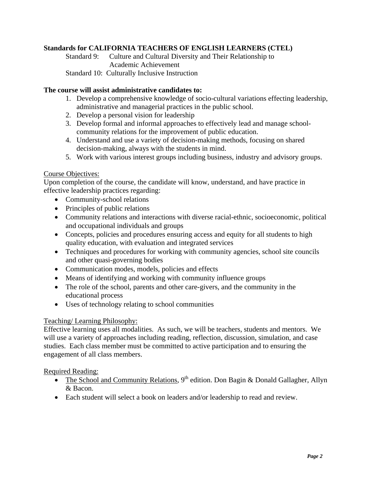#### **Standards for CALIFORNIA TEACHERS OF ENGLISH LEARNERS (CTEL)**

Standard 9: Culture and Cultural Diversity and Their Relationship to Academic Achievement Standard 10: Culturally Inclusive Instruction

#### **The course will assist administrative candidates to:**

- 1. Develop a comprehensive knowledge of socio-cultural variations effecting leadership, administrative and managerial practices in the public school.
- 2. Develop a personal vision for leadership
- 3. Develop formal and informal approaches to effectively lead and manage schoolcommunity relations for the improvement of public education.
- 4. Understand and use a variety of decision-making methods, focusing on shared decision-making, always with the students in mind.
- 5. Work with various interest groups including business, industry and advisory groups.

#### Course Objectives:

Upon completion of the course, the candidate will know, understand, and have practice in effective leadership practices regarding:

- Community-school relations
- Principles of public relations
- • Community relations and interactions with diverse racial-ethnic, socioeconomic, political and occupational individuals and groups
- Concepts, policies and procedures ensuring access and equity for all students to high quality education, with evaluation and integrated services
- Techniques and procedures for working with community agencies, school site councils and other quasi-governing bodies
- Communication modes, models, policies and effects
- Means of identifying and working with community influence groups
- The role of the school, parents and other care-givers, and the community in the educational process
- Uses of technology relating to school communities

#### Teaching/ Learning Philosophy:

Effective learning uses all modalities. As such, we will be teachers, students and mentors. We will use a variety of approaches including reading, reflection, discussion, simulation, and case studies. Each class member must be committed to active participation and to ensuring the engagement of all class members.

#### Required Reading:

- The School and Community Relations,  $9<sup>th</sup>$  edition. Don Bagin & Donald Gallagher, Allyn & Bacon.
- Each student will select a book on leaders and/or leadership to read and review.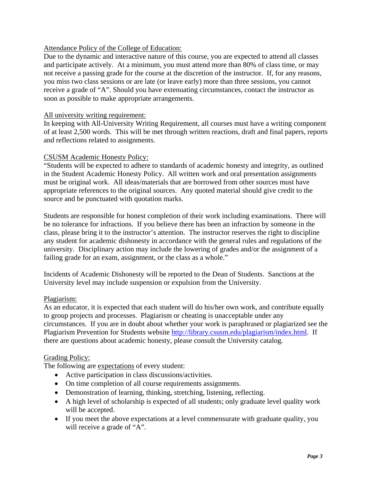#### Attendance Policy of the College of Education:

Due to the dynamic and interactive nature of this course, you are expected to attend all classes and participate actively. At a minimum, you must attend more than 80% of class time, or may not receive a passing grade for the course at the discretion of the instructor. If, for any reasons, you miss two class sessions or are late (or leave early) more than three sessions, you cannot receive a grade of "A". Should you have extenuating circumstances, contact the instructor as soon as possible to make appropriate arrangements.

#### All university writing requirement:

In keeping with All-University Writing Requirement, all courses must have a writing component of at least 2,500 words. This will be met through written reactions, draft and final papers, reports and reflections related to assignments.

#### CSUSM Academic Honesty Policy:

"Students will be expected to adhere to standards of academic honesty and integrity, as outlined in the Student Academic Honesty Policy. All written work and oral presentation assignments must be original work. All ideas/materials that are borrowed from other sources must have appropriate references to the original sources. Any quoted material should give credit to the source and be punctuated with quotation marks.

Students are responsible for honest completion of their work including examinations. There will be no tolerance for infractions. If you believe there has been an infraction by someone in the class, please bring it to the instructor's attention. The instructor reserves the right to discipline any student for academic dishonesty in accordance with the general rules and regulations of the university. Disciplinary action may include the lowering of grades and/or the assignment of a failing grade for an exam, assignment, or the class as a whole."

Incidents of Academic Dishonesty will be reported to the Dean of Students. Sanctions at the University level may include suspension or expulsion from the University.

#### Plagiarism:

As an educator, it is expected that each student will do his/her own work, and contribute equally to group projects and processes. Plagiarism or cheating is unacceptable under any circumstances. If you are in doubt about whether your work is paraphrased or plagiarized see the Plagiarism Prevention for Students website http://library.csusm.edu/plagiarism/index.html. If there are questions about academic honesty, please consult the University catalog.

#### Grading Policy:

The following are expectations of every student:

- Active participation in class discussions/activities.
- On time completion of all course requirements assignments.
- Demonstration of learning, thinking, stretching, listening, reflecting.
- A high level of scholarship is expected of all students; only graduate level quality work will be accepted.
- If you meet the above expectations at a level commensurate with graduate quality, you will receive a grade of "A".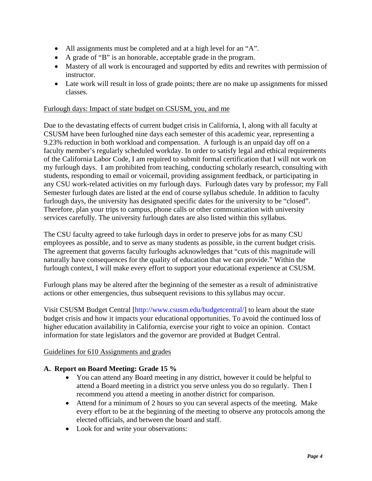- All assignments must be completed and at a high level for an "A".
- • A grade of "B" is an honorable, acceptable grade in the program.
- Mastery of all work is encouraged and supported by edits and rewrites with permission of instructor.
- Late work will result in loss of grade points; there are no make up assignments for missed classes.

#### Furlough days: Impact of state budget on CSUSM, you, and me

Due to the devastating effects of current budget crisis in California, I, along with all faculty at CSUSM have been furloughed nine days each semester of this academic year, representing a 9.23% reduction in both workload and compensation. A furlough is an unpaid day off on a faculty member's regularly scheduled workday. In order to satisfy legal and ethical requirements of the California Labor Code, I am required to submit formal certification that I will not work on my furlough days. I am prohibited from teaching, conducting scholarly research, consulting with students, responding to email or voicemail, providing assignment feedback, or participating in any CSU work-related activities on my furlough days. Furlough dates vary by professor; my Fall Semester furlough dates are listed at the end of course syllabus schedule. In addition to faculty furlough days, the university has designated specific dates for the university to be "closed". Therefore, plan your trips to campus, phone calls or other communication with university services carefully. The university furlough dates are also listed within this syllabus.

The CSU faculty agreed to take furlough days in order to preserve jobs for as many CSU employees as possible, and to serve as many students as possible, in the current budget crisis. The agreement that governs faculty furloughs acknowledges that "cuts of this magnitude will naturally have consequences for the quality of education that we can provide." Within the furlough context, I will make every effort to support your educational experience at CSUSM.

Furlough plans may be altered after the beginning of the semester as a result of administrative actions or other emergencies, thus subsequent revisions to this syllabus may occur.

Visit CSUSM Budget Central [http://www.csusm.edu/budgetcentral/] to learn about the state budget crisis and how it impacts your educational opportunities. To avoid the continued loss of higher education availability in California, exercise your right to voice an opinion. Contact information for state legislators and the governor are provided at Budget Central.

#### Guidelines for 610 Assignments and grades

## **A. Report on Board Meeting: Grade 15 %**

- You can attend any Board meeting in any district, however it could be helpful to attend a Board meeting in a district you serve unless you do so regularly. Then I recommend you attend a meeting in another district for comparison.
- Attend for a minimum of 2 hours so you can several aspects of the meeting. Make every effort to be at the beginning of the meeting to observe any protocols among the elected officials, and between the board and staff.
- Look for and write your observations: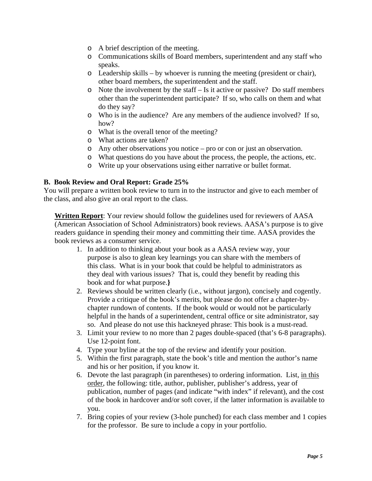- o A brief description of the meeting.
- o Communications skills of Board members, superintendent and any staff who speaks.
- $\circ$  Leadership skills by whoever is running the meeting (president or chair), other board members, the superintendent and the staff.
- o Note the involvement by the staff Is it active or passive? Do staff members other than the superintendent participate? If so, who calls on them and what do they say?
- o Who is in the audience? Are any members of the audience involved? If so, how?
- o What is the overall tenor of the meeting?
- o What actions are taken?
- $\circ$  Any other observations you notice pro or con or just an observation.
- o What questions do you have about the process, the people, the actions, etc.
- o Write up your observations using either narrative or bullet format.

#### **B. Book Review and Oral Report: Grade 25%**

You will prepare a written book review to turn in to the instructor and give to each member of the class, and also give an oral report to the class.

**Written Report**: Your review should follow the guidelines used for reviewers of AASA (American Association of School Administrators) book reviews. AASA's purpose is to give readers guidance in spending their money and committing their time. AASA provides the book reviews as a consumer service.

- 1. In addition to thinking about your book as a AASA review way, your purpose is also to glean key learnings you can share with the members of this class. What is in your book that could be helpful to administrators as they deal with various issues? That is, could they benefit by reading this book and for what purpose.**}**
- 2. Reviews should be written clearly (i.e., without jargon), concisely and cogently. Provide a critique of the book's merits, but please do not offer a chapter-bychapter rundown of contents. If the book would or would not be particularly helpful in the hands of a superintendent, central office or site administrator, say so. And please do not use this hackneyed phrase: This book is a must-read.
- 3. Limit your review to no more than 2 pages double-spaced (that's 6-8 paragraphs). Use 12-point font.
- 4. Type your byline at the top of the review and identify your position.
- 5. Within the first paragraph, state the book's title and mention the author's name and his or her position, if you know it.
- 6. Devote the last paragraph (in parentheses) to ordering information. List, in this order, the following: title, author, publisher, publisher's address, year of publication, number of pages (and indicate "with index" if relevant), and the cost of the book in hardcover and/or soft cover, if the latter information is available to you.
- 7. Bring copies of your review (3-hole punched) for each class member and 1 copies for the professor. Be sure to include a copy in your portfolio.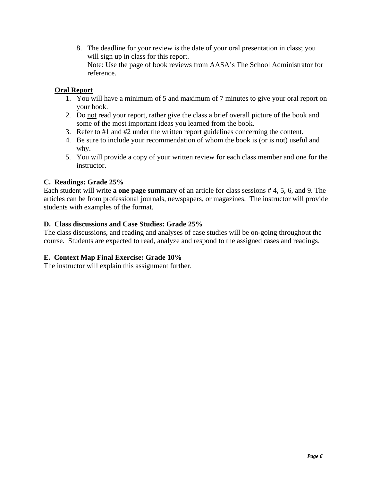8. The deadline for your review is the date of your oral presentation in class; you will sign up in class for this report. Note: Use the page of book reviews from AASA's The School Administrator for reference.

# **Oral Report**

- 1. You will have a minimum of 5 and maximum of 7 minutes to give your oral report on your book.
- 2. Do not read your report, rather give the class a brief overall picture of the book and some of the most important ideas you learned from the book.
- 3. Refer to  $#1$  and  $#2$  under the written report guidelines concerning the content.
- 4. Be sure to include your recommendation of whom the book is (or is not) useful and why.
- 5. You will provide a copy of your written review for each class member and one for the instructor.

## **C. Readings: Grade 25%**

Each student will write **a one page summary** of an article for class sessions # 4, 5, 6, and 9. The articles can be from professional journals, newspapers, or magazines. The instructor will provide students with examples of the format.

## **D. Class discussions and Case Studies: Grade 25%**

The class discussions, and reading and analyses of case studies will be on-going throughout the course. Students are expected to read, analyze and respond to the assigned cases and readings.

## **E. Context Map Final Exercise: Grade 10%**

The instructor will explain this assignment further.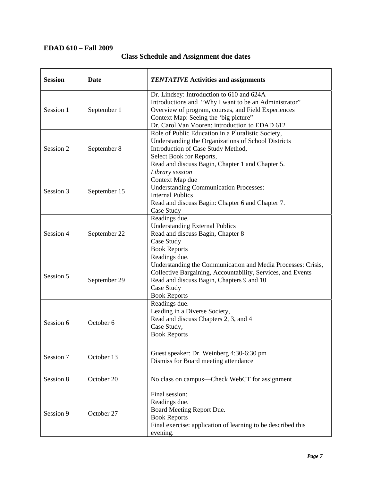# **EDAD 610 – Fall 2009**

| <b>Session</b> | Date         | <b>TENTATIVE Activities and assignments</b>                                                                                                                                                                                                           |  |
|----------------|--------------|-------------------------------------------------------------------------------------------------------------------------------------------------------------------------------------------------------------------------------------------------------|--|
| Session 1      | September 1  | Dr. Lindsey: Introduction to 610 and 624A<br>Introductions and "Why I want to be an Administrator"<br>Overview of program, courses, and Field Experiences<br>Context Map: Seeing the 'big picture''<br>Dr. Carol Van Vooren: introduction to EDAD 612 |  |
| Session 2      | September 8  | Role of Public Education in a Pluralistic Society,<br>Understanding the Organizations of School Districts<br>Introduction of Case Study Method,<br>Select Book for Reports,<br>Read and discuss Bagin, Chapter 1 and Chapter 5.                       |  |
| Session 3      | September 15 | Library session<br>Context Map due<br><b>Understanding Communication Processes:</b><br><b>Internal Publics</b><br>Read and discuss Bagin: Chapter 6 and Chapter 7.<br>Case Study                                                                      |  |
| Session 4      | September 22 | Readings due.<br><b>Understanding External Publics</b><br>Read and discuss Bagin, Chapter 8<br>Case Study<br><b>Book Reports</b>                                                                                                                      |  |
| Session 5      | September 29 | Readings due.<br>Understanding the Communication and Media Processes: Crisis,<br>Collective Bargaining, Accountability, Services, and Events<br>Read and discuss Bagin, Chapters 9 and 10<br>Case Study<br><b>Book Reports</b>                        |  |
| Session 6      | October 6    | Readings due.<br>Leading in a Diverse Society,<br>Read and discuss Chapters 2, 3, and 4<br>Case Study,<br><b>Book Reports</b>                                                                                                                         |  |
| Session 7      | October 13   | Guest speaker: Dr. Weinberg 4:30-6:30 pm<br>Dismiss for Board meeting attendance                                                                                                                                                                      |  |
| Session 8      | October 20   | No class on campus—Check WebCT for assignment                                                                                                                                                                                                         |  |
| Session 9      | October 27   | Final session:<br>Readings due.<br>Board Meeting Report Due.<br><b>Book Reports</b><br>Final exercise: application of learning to be described this<br>evening.                                                                                       |  |

# **Class Schedule and Assignment due dates**